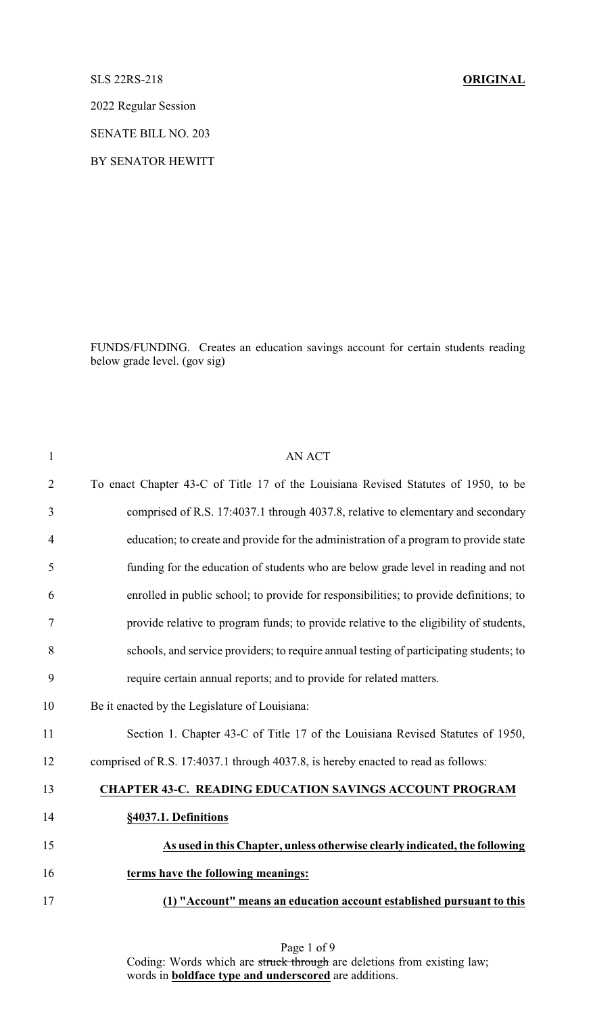## SLS 22RS-218 **ORIGINAL**

2022 Regular Session

SENATE BILL NO. 203

BY SENATOR HEWITT

FUNDS/FUNDING. Creates an education savings account for certain students reading below grade level. (gov sig)

| 1              | <b>AN ACT</b>                                                                           |
|----------------|-----------------------------------------------------------------------------------------|
| $\overline{2}$ | To enact Chapter 43-C of Title 17 of the Louisiana Revised Statutes of 1950, to be      |
| 3              | comprised of R.S. 17:4037.1 through 4037.8, relative to elementary and secondary        |
| $\overline{4}$ | education; to create and provide for the administration of a program to provide state   |
| 5              | funding for the education of students who are below grade level in reading and not      |
| 6              | enrolled in public school; to provide for responsibilities; to provide definitions; to  |
| $\tau$         | provide relative to program funds; to provide relative to the eligibility of students,  |
| 8              | schools, and service providers; to require annual testing of participating students; to |
| 9              | require certain annual reports; and to provide for related matters.                     |
| 10             | Be it enacted by the Legislature of Louisiana:                                          |
| 11             | Section 1. Chapter 43-C of Title 17 of the Louisiana Revised Statutes of 1950,          |
| 12             | comprised of R.S. 17:4037.1 through 4037.8, is hereby enacted to read as follows:       |
| 13             | <b>CHAPTER 43-C. READING EDUCATION SAVINGS ACCOUNT PROGRAM</b>                          |
| 14             | §4037.1. Definitions                                                                    |
| 15             | As used in this Chapter, unless otherwise clearly indicated, the following              |
| 16             | terms have the following meanings:                                                      |
| 17             | "Account" means an education account established pursuant to this                       |
|                |                                                                                         |

Page 1 of 9 Coding: Words which are struck through are deletions from existing law; words in **boldface type and underscored** are additions.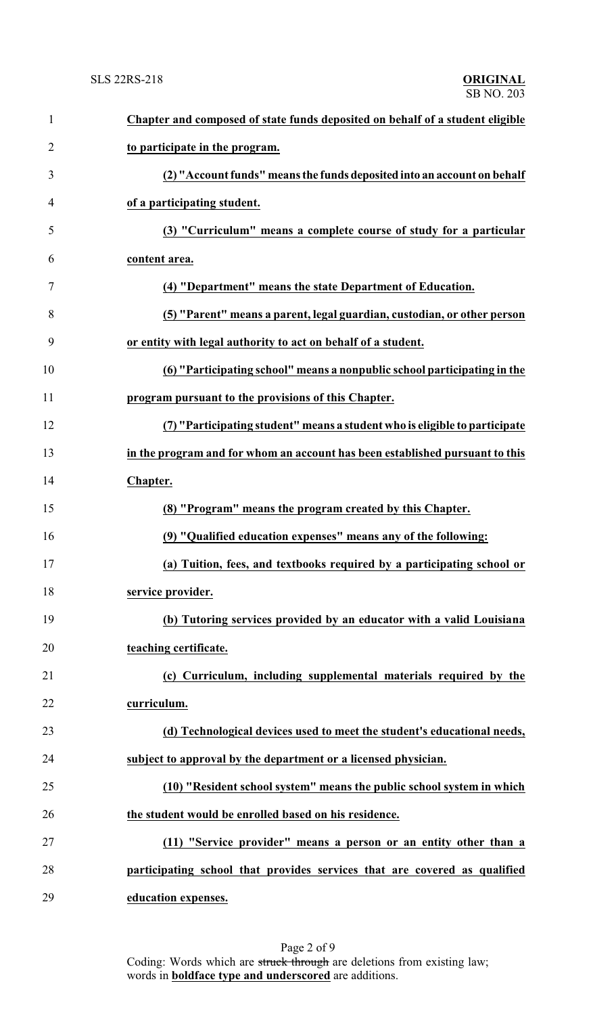| $\mathbf{1}$   | Chapter and composed of state funds deposited on behalf of a student eligible |
|----------------|-------------------------------------------------------------------------------|
| $\overline{2}$ | to participate in the program.                                                |
| 3              | (2) "Account funds" means the funds deposited into an account on behalf       |
| 4              | of a participating student.                                                   |
| 5              | (3) "Curriculum" means a complete course of study for a particular            |
| 6              | content area.                                                                 |
| 7              | (4) "Department" means the state Department of Education.                     |
| 8              | (5) "Parent" means a parent, legal guardian, custodian, or other person       |
| 9              | or entity with legal authority to act on behalf of a student.                 |
| 10             | (6) "Participating school" means a nonpublic school participating in the      |
| 11             | program pursuant to the provisions of this Chapter.                           |
| 12             | (7) "Participating student" means a student who is eligible to participate    |
| 13             | in the program and for whom an account has been established pursuant to this  |
| 14             | Chapter.                                                                      |
| 15             | (8) "Program" means the program created by this Chapter.                      |
| 16             | (9) "Qualified education expenses" means any of the following:                |
| 17             | (a) Tuition, fees, and textbooks required by a participating school or        |
| 18             | service provider.                                                             |
| 19             | (b) Tutoring services provided by an educator with a valid Louisiana          |
| 20             | teaching certificate.                                                         |
| 21             | (c) Curriculum, including supplemental materials required by the              |
| 22             | curriculum.                                                                   |
| 23             | (d) Technological devices used to meet the student's educational needs,       |
| 24             | subject to approval by the department or a licensed physician.                |
| 25             | (10) "Resident school system" means the public school system in which         |
| 26             | the student would be enrolled based on his residence.                         |
| 27             | (11) "Service provider" means a person or an entity other than a              |
| 28             | participating school that provides services that are covered as qualified     |
| 29             | education expenses.                                                           |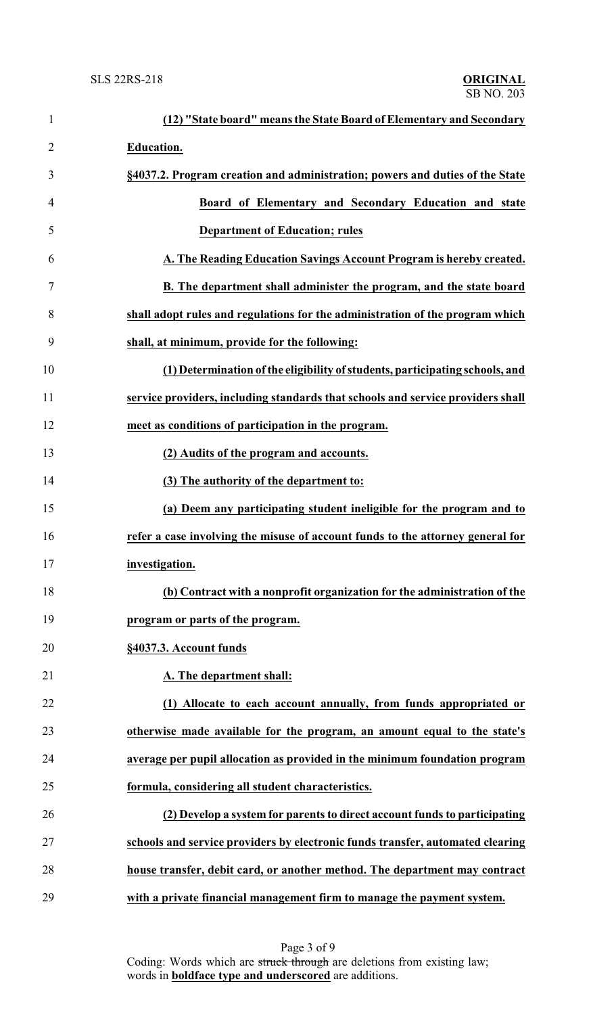| $\mathbf{1}$   | (12) "State board" means the State Board of Elementary and Secondary            |
|----------------|---------------------------------------------------------------------------------|
| $\overline{2}$ | <b>Education.</b>                                                               |
| 3              | §4037.2. Program creation and administration; powers and duties of the State    |
| 4              | Board of Elementary and Secondary Education and state                           |
| 5              | <b>Department of Education; rules</b>                                           |
| 6              | A. The Reading Education Savings Account Program is hereby created.             |
| 7              | B. The department shall administer the program, and the state board             |
| 8              | shall adopt rules and regulations for the administration of the program which   |
| 9              | shall, at minimum, provide for the following:                                   |
| 10             | (1) Determination of the eligibility of students, participating schools, and    |
| 11             | service providers, including standards that schools and service providers shall |
| 12             | meet as conditions of participation in the program.                             |
| 13             | (2) Audits of the program and accounts.                                         |
| 14             | (3) The authority of the department to:                                         |
| 15             | (a) Deem any participating student ineligible for the program and to            |
| 16             | refer a case involving the misuse of account funds to the attorney general for  |
| 17             | investigation.                                                                  |
| 18             | (b) Contract with a nonprofit organization for the administration of the        |
| 19             | program or parts of the program.                                                |
| 20             | §4037.3. Account funds                                                          |
| 21             | A. The department shall:                                                        |
| 22             | (1) Allocate to each account annually, from funds appropriated or               |
| 23             | otherwise made available for the program, an amount equal to the state's        |
| 24             | average per pupil allocation as provided in the minimum foundation program      |
| 25             | formula, considering all student characteristics.                               |
| 26             | (2) Develop a system for parents to direct account funds to participating       |
| 27             | schools and service providers by electronic funds transfer, automated clearing  |
| 28             | house transfer, debit card, or another method. The department may contract      |
| 29             | with a private financial management firm to manage the payment system.          |

Page 3 of 9 Coding: Words which are struck through are deletions from existing law; words in **boldface type and underscored** are additions.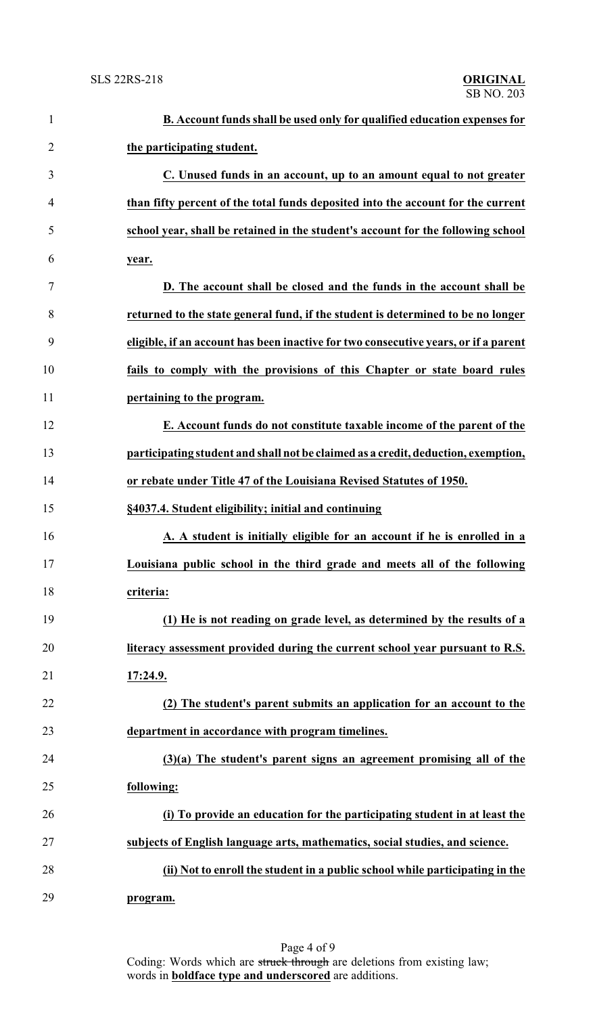| $\mathbf{1}$   | B. Account funds shall be used only for qualified education expenses for            |
|----------------|-------------------------------------------------------------------------------------|
| $\overline{2}$ | the participating student.                                                          |
| 3              | C. Unused funds in an account, up to an amount equal to not greater                 |
| 4              | than fifty percent of the total funds deposited into the account for the current    |
| 5              | school year, shall be retained in the student's account for the following school    |
| 6              | year.                                                                               |
| 7              | D. The account shall be closed and the funds in the account shall be                |
| 8              | returned to the state general fund, if the student is determined to be no longer    |
| 9              | eligible, if an account has been inactive for two consecutive years, or if a parent |
| 10             | fails to comply with the provisions of this Chapter or state board rules            |
| 11             | pertaining to the program.                                                          |
| 12             | E. Account funds do not constitute taxable income of the parent of the              |
| 13             | participating student and shall not be claimed as a credit, deduction, exemption,   |
| 14             | or rebate under Title 47 of the Louisiana Revised Statutes of 1950.                 |
| 15             | §4037.4. Student eligibility; initial and continuing                                |
| 16             | A. A student is initially eligible for an account if he is enrolled in a            |
| 17             | Louisiana public school in the third grade and meets all of the following           |
| 18             | criteria:                                                                           |
| 19             | (1) He is not reading on grade level, as determined by the results of a             |
| 20             | literacy assessment provided during the current school year pursuant to R.S.        |
| 21             | 17:24.9.                                                                            |
| 22             | (2) The student's parent submits an application for an account to the               |
| 23             | department in accordance with program timelines.                                    |
| 24             | $(3)(a)$ The student's parent signs an agreement promising all of the               |
| 25             | following:                                                                          |
| 26             | (i) To provide an education for the participating student in at least the           |
| 27             | subjects of English language arts, mathematics, social studies, and science.        |
| 28             | (ii) Not to enroll the student in a public school while participating in the        |
| 29             | program.                                                                            |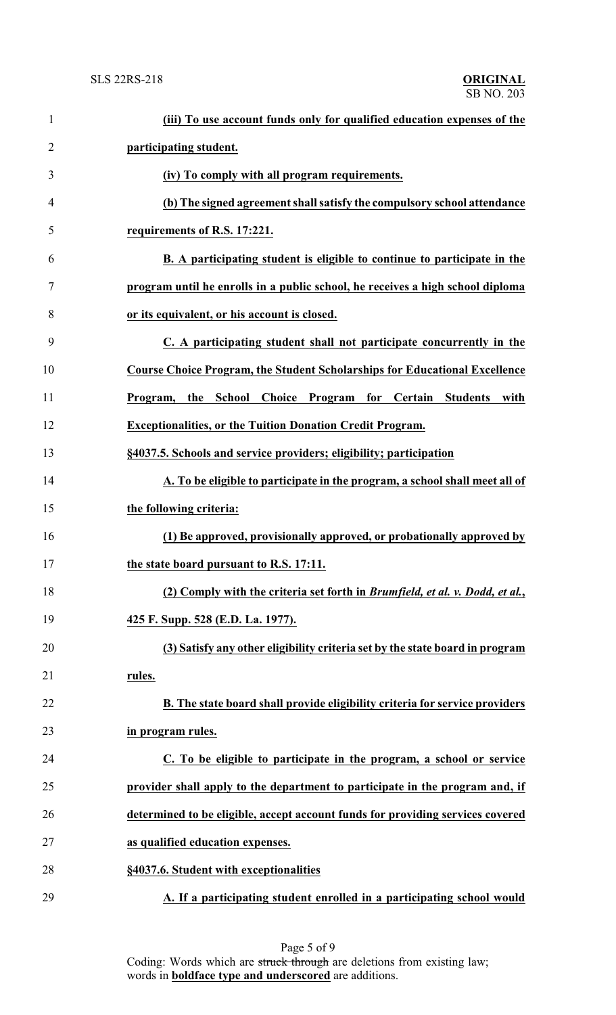| $\mathbf{1}$   | (iii) To use account funds only for qualified education expenses of the               |
|----------------|---------------------------------------------------------------------------------------|
| $\overline{2}$ | participating student.                                                                |
| 3              | (iv) To comply with all program requirements.                                         |
| $\overline{4}$ | (b) The signed agreement shall satisfy the compulsory school attendance               |
| 5              | requirements of R.S. 17:221.                                                          |
| 6              | B. A participating student is eligible to continue to participate in the              |
| 7              | program until he enrolls in a public school, he receives a high school diploma        |
| 8              | or its equivalent, or his account is closed.                                          |
| 9              | C. A participating student shall not participate concurrently in the                  |
| 10             | <b>Course Choice Program, the Student Scholarships for Educational Excellence</b>     |
| 11             | Choice Program<br>for Certain<br><b>Students</b><br>Program,<br>School<br>with<br>the |
| 12             | <b>Exceptionalities, or the Tuition Donation Credit Program.</b>                      |
| 13             | §4037.5. Schools and service providers; eligibility; participation                    |
| 14             | A. To be eligible to participate in the program, a school shall meet all of           |
| 15             | the following criteria:                                                               |
| 16             | (1) Be approved, provisionally approved, or probationally approved by                 |
| 17             | the state board pursuant to R.S. 17:11.                                               |
| 18             | (2) Comply with the criteria set forth in Brumfield, et al. v. Dodd, et al.,          |
| 19             | 425 F. Supp. 528 (E.D. La. 1977).                                                     |
| 20             | (3) Satisfy any other eligibility criteria set by the state board in program          |
| 21             | rules.                                                                                |
| 22             | B. The state board shall provide eligibility criteria for service providers           |
| 23             | in program rules.                                                                     |
| 24             | C. To be eligible to participate in the program, a school or service                  |
| 25             | provider shall apply to the department to participate in the program and, if          |
| 26             | determined to be eligible, accept account funds for providing services covered        |
| 27             | as qualified education expenses.                                                      |
| 28             | §4037.6. Student with exceptionalities                                                |
| 29             | A. If a participating student enrolled in a participating school would                |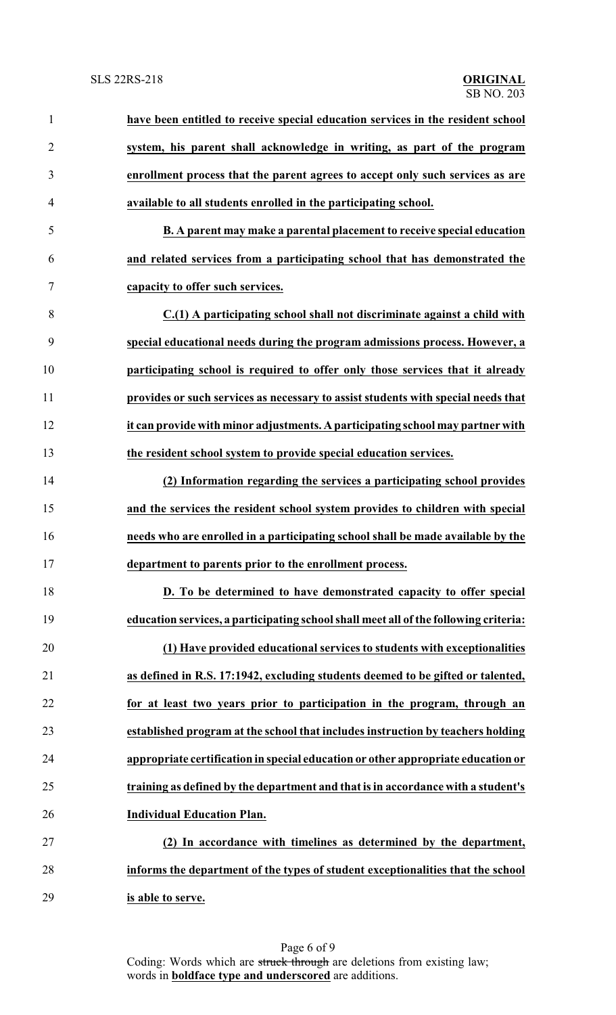| $\mathbf{1}$   | have been entitled to receive special education services in the resident school      |
|----------------|--------------------------------------------------------------------------------------|
| $\overline{2}$ | system, his parent shall acknowledge in writing, as part of the program              |
| 3              | enrollment process that the parent agrees to accept only such services as are        |
| $\overline{4}$ | available to all students enrolled in the participating school.                      |
| 5              | B. A parent may make a parental placement to receive special education               |
| 6              | and related services from a participating school that has demonstrated the           |
| 7              | capacity to offer such services.                                                     |
| 8              | C.(1) A participating school shall not discriminate against a child with             |
| 9              | special educational needs during the program admissions process. However, a          |
| 10             | participating school is required to offer only those services that it already        |
| 11             | provides or such services as necessary to assist students with special needs that    |
| 12             | it can provide with minor adjustments. A participating school may partner with       |
| 13             | the resident school system to provide special education services.                    |
| 14             | (2) Information regarding the services a participating school provides               |
| 15             | and the services the resident school system provides to children with special        |
| 16             | needs who are enrolled in a participating school shall be made available by the      |
| 17             | department to parents prior to the enrollment process.                               |
| 18             | D. To be determined to have demonstrated capacity to offer special                   |
| 19             | education services, a participating school shall meet all of the following criteria: |
| 20             | (1) Have provided educational services to students with exceptionalities             |
| 21             | as defined in R.S. 17:1942, excluding students deemed to be gifted or talented,      |
| 22             | for at least two years prior to participation in the program, through an             |
| 23             | established program at the school that includes instruction by teachers holding      |
| 24             | appropriate certification in special education or other appropriate education or     |
| 25             | training as defined by the department and that is in accordance with a student's     |
| 26             | <b>Individual Education Plan.</b>                                                    |
| 27             | (2) In accordance with timelines as determined by the department,                    |
| 28             | informs the department of the types of student exceptionalities that the school      |
| 29             | is able to serve.                                                                    |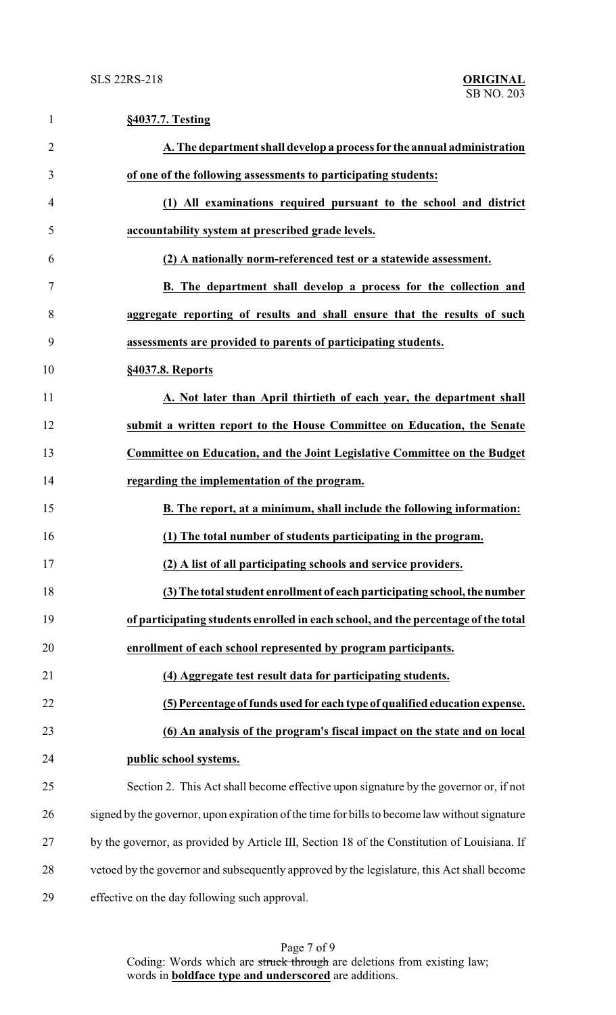| $\mathbf{1}$   | §4037.7. Testing                                                                              |
|----------------|-----------------------------------------------------------------------------------------------|
| $\overline{2}$ | A. The department shall develop a process for the annual administration                       |
| 3              | of one of the following assessments to participating students:                                |
| 4              | (1) All examinations required pursuant to the school and district                             |
| 5              | accountability system at prescribed grade levels.                                             |
| 6              | (2) A nationally norm-referenced test or a statewide assessment.                              |
| 7              | B. The department shall develop a process for the collection and                              |
| 8              | aggregate reporting of results and shall ensure that the results of such                      |
| 9              | assessments are provided to parents of participating students.                                |
| 10             | §4037.8. Reports                                                                              |
| 11             | A. Not later than April thirtieth of each year, the department shall                          |
| 12             | submit a written report to the House Committee on Education, the Senate                       |
| 13             | Committee on Education, and the Joint Legislative Committee on the Budget                     |
| 14             | regarding the implementation of the program.                                                  |
| 15             | B. The report, at a minimum, shall include the following information:                         |
| 16             | (1) The total number of students participating in the program.                                |
| 17             | (2) A list of all participating schools and service providers.                                |
| 18             | (3) The total student enrollment of each participating school, the number                     |
| 19             | of participating students enrolled in each school, and the percentage of the total            |
| 20             | enrollment of each school represented by program participants.                                |
| 21             | (4) Aggregate test result data for participating students.                                    |
| 22             | (5) Percentage of funds used for each type of qualified education expense.                    |
| 23             | (6) An analysis of the program's fiscal impact on the state and on local                      |
| 24             | public school systems.                                                                        |
| 25             | Section 2. This Act shall become effective upon signature by the governor or, if not          |
| 26             | signed by the governor, upon expiration of the time for bills to become law without signature |
| 27             | by the governor, as provided by Article III, Section 18 of the Constitution of Louisiana. If  |
| 28             | vetoed by the governor and subsequently approved by the legislature, this Act shall become    |
| 29             | effective on the day following such approval.                                                 |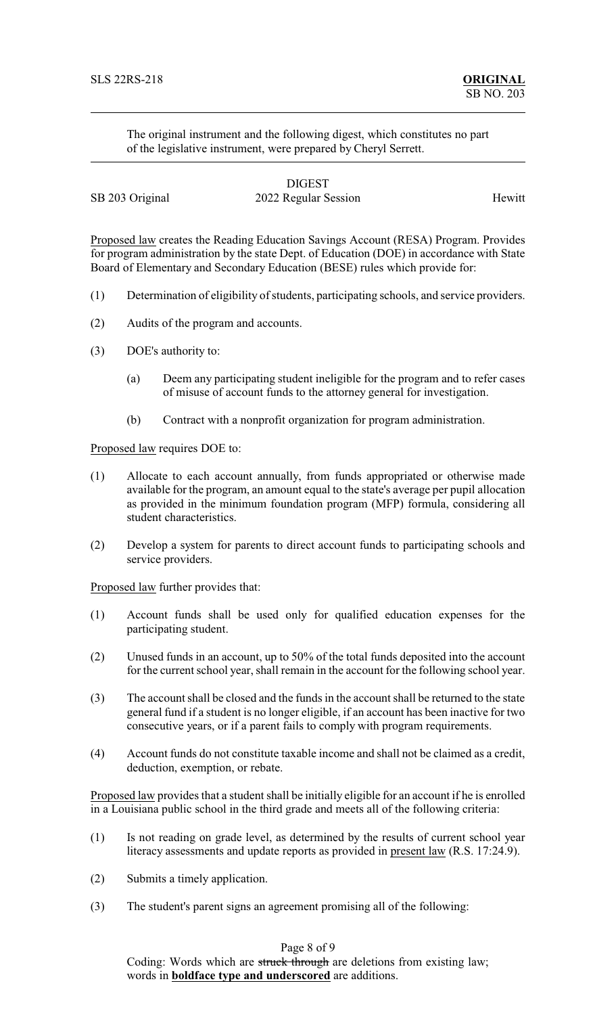The original instrument and the following digest, which constitutes no part of the legislative instrument, were prepared by Cheryl Serrett.

|                 | <b>DIGEST</b>        |        |
|-----------------|----------------------|--------|
| SB 203 Original | 2022 Regular Session | Hewitt |

Proposed law creates the Reading Education Savings Account (RESA) Program. Provides for program administration by the state Dept. of Education (DOE) in accordance with State Board of Elementary and Secondary Education (BESE) rules which provide for:

- (1) Determination of eligibility of students, participating schools, and service providers.
- (2) Audits of the program and accounts.
- (3) DOE's authority to:
	- (a) Deem any participating student ineligible for the program and to refer cases of misuse of account funds to the attorney general for investigation.
	- (b) Contract with a nonprofit organization for program administration.

Proposed law requires DOE to:

- (1) Allocate to each account annually, from funds appropriated or otherwise made available for the program, an amount equal to the state's average per pupil allocation as provided in the minimum foundation program (MFP) formula, considering all student characteristics.
- (2) Develop a system for parents to direct account funds to participating schools and service providers.

Proposed law further provides that:

- (1) Account funds shall be used only for qualified education expenses for the participating student.
- (2) Unused funds in an account, up to 50% of the total funds deposited into the account for the current school year, shall remain in the account for the following school year.
- (3) The account shall be closed and the funds in the account shall be returned to the state general fund if a student is no longer eligible, if an account has been inactive for two consecutive years, or if a parent fails to comply with program requirements.
- (4) Account funds do not constitute taxable income and shall not be claimed as a credit, deduction, exemption, or rebate.

Proposed law provides that a student shall be initially eligible for an account if he is enrolled in a Louisiana public school in the third grade and meets all of the following criteria:

- (1) Is not reading on grade level, as determined by the results of current school year literacy assessments and update reports as provided in present law (R.S. 17:24.9).
- (2) Submits a timely application.
- (3) The student's parent signs an agreement promising all of the following:

## Page 8 of 9

Coding: Words which are struck through are deletions from existing law; words in **boldface type and underscored** are additions.